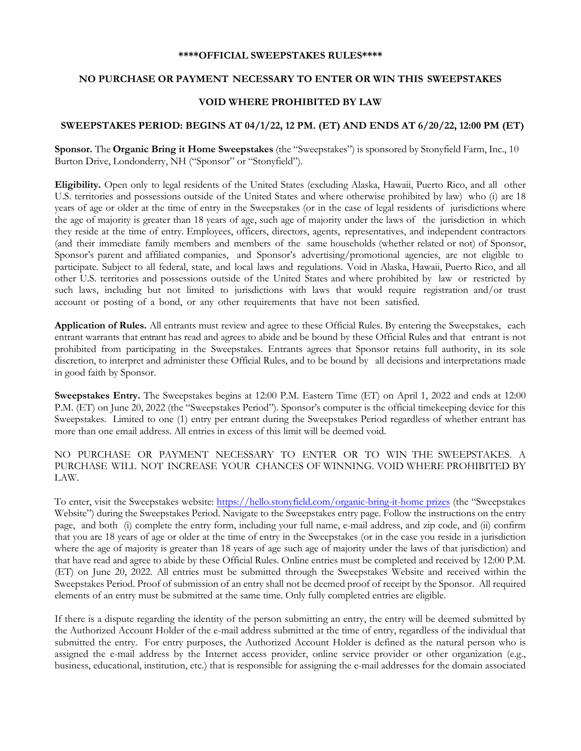#### **\*\*\*\*OFFICIAL SWEEPSTAKES RULES\*\*\*\***

### **NO PURCHASE OR PAYMENT NECESSARY TO ENTER OR WIN THIS SWEEPSTAKES**

# **VOID WHERE PROHIBITED BY LAW**

# **SWEEPSTAKES PERIOD: BEGINS AT 04/1/22, 12 PM. (ET) AND ENDS AT 6/20/22, 12:00 PM (ET)**

**Sponsor.** The **Organic Bring it Home Sweepstakes** (the "Sweepstakes") is sponsored by Stonyfield Farm, Inc., 10 Burton Drive, Londonderry, NH ("Sponsor" or "Stonyfield").

**Eligibility.** Open only to legal residents of the United States (excluding Alaska, Hawaii, Puerto Rico, and all other U.S. territories and possessions outside of the United States and where otherwise prohibited by law) who (i) are 18 years of age or older at the time of entry in the Sweepstakes (or in the case of legal residents of jurisdictions where the age of majority is greater than 18 years of age, such age of majority under the laws of the jurisdiction in which they reside at the time of entry. Employees, officers, directors, agents, representatives, and independent contractors (and their immediate family members and members of the same households (whether related or not) of Sponsor, Sponsor's parent and affiliated companies, and Sponsor's advertising/promotional agencies, are not eligible to participate. Subject to all federal, state, and local laws and regulations. Void in Alaska, Hawaii, Puerto Rico, and all other U.S. territories and possessions outside of the United States and where prohibited by law or restricted by such laws, including but not limited to jurisdictions with laws that would require registration and/or trust account or posting of a bond, or any other requirements that have not been satisfied.

**Application of Rules.** All entrants must review and agree to these Official Rules. By entering the Sweepstakes, each entrant warrants that entrant has read and agrees to abide and be bound by these Official Rules and that entrant is not prohibited from participating in the Sweepstakes. Entrants agrees that Sponsor retains full authority, in its sole discretion, to interpret and administer these Official Rules, and to be bound by all decisions and interpretations made in good faith by Sponsor.

**Sweepstakes Entry.** The Sweepstakes begins at 12:00 P.M. Eastern Time (ET) on April 1, 2022 and ends at 12:00 P.M. (ET) on June 20, 2022 (the "Sweepstakes Period"). Sponsor's computer is the official timekeeping device for this Sweepstakes. Limited to one (1) entry per entrant during the Sweepstakes Period regardless of whether entrant has more than one email address. All entries in excess of this limit will be deemed void.

NO PURCHASE OR PAYMENT NECESSARY TO ENTER OR TO WIN THE SWEEPSTAKES. A PURCHASE WILL NOT INCREASE YOUR CHANCES OF WINNING. VOID WHERE PROHIBITED BY LAW.

To enter, visit the Sweepstakes website[: https://hello.stonyfield.com/organic-bring-it-home prizes](https://hello.stonyfield.com/organic-bring-it-home%20prizes) (the "Sweepstakes Website") during the Sweepstakes Period. Navigate to the Sweepstakes entry page. Follow the instructions on the entry page, and both (i) complete the entry form, including your full name, e-mail address, and zip code, and (ii) confirm that you are 18 years of age or older at the time of entry in the Sweepstakes (or in the case you reside in a jurisdiction where the age of majority is greater than 18 years of age such age of majority under the laws of that jurisdiction) and that have read and agree to abide by these Official Rules. Online entries must be completed and received by 12:00 P.M. (ET) on June 20, 2022. All entries must be submitted through the Sweepstakes Website and received within the Sweepstakes Period. Proof of submission of an entry shall not be deemed proof of receipt by the Sponsor. All required elements of an entry must be submitted at the same time. Only fully completed entries are eligible.

If there is a dispute regarding the identity of the person submitting an entry, the entry will be deemed submitted by the Authorized Account Holder of the e-mail address submitted at the time of entry, regardless of the individual that submitted the entry. For entry purposes, the Authorized Account Holder is defined as the natural person who is assigned the e-mail address by the Internet access provider, online service provider or other organization (e.g., business, educational, institution, etc.) that is responsible for assigning the e-mail addresses for the domain associated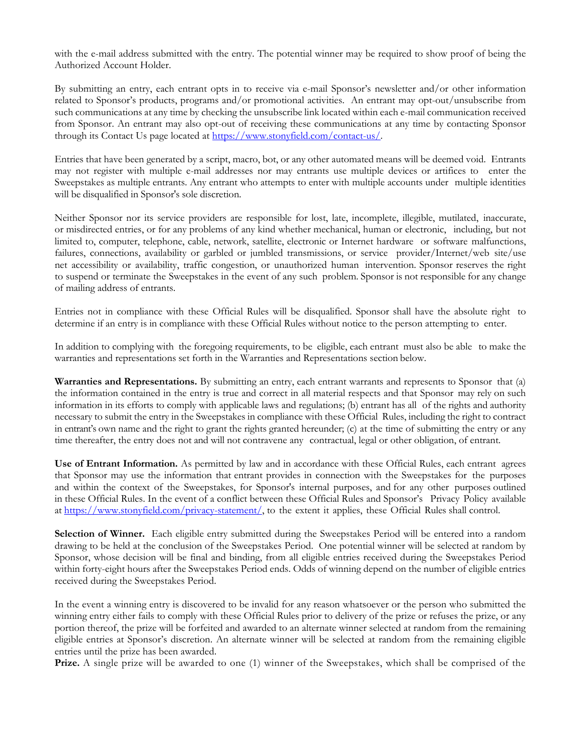with the e-mail address submitted with the entry. The potential winner may be required to show proof of being the Authorized Account Holder.

By submitting an entry, each entrant opts in to receive via e-mail Sponsor's newsletter and/or other information related to Sponsor's products, programs and/or promotional activities. An entrant may opt-out/unsubscribe from such communications at any time by checking the unsubscribe link located within each e-mail communication received from Sponsor. An entrant may also opt-out of receiving these communications at any time by contacting Sponsor through its Contact Us page located at [https://www.stonyfield.com/contact-us/.](https://www.stonyfield.com/contact-us/)

Entries that have been generated by a script, macro, bot, or any other automated means will be deemed void. Entrants may not register with multiple e-mail addresses nor may entrants use multiple devices or artifices to enter the Sweepstakes as multiple entrants. Any entrant who attempts to enter with multiple accounts under multiple identities will be disqualified in Sponsor's sole discretion.

Neither Sponsor nor its service providers are responsible for lost, late, incomplete, illegible, mutilated, inaccurate, or misdirected entries, or for any problems of any kind whether mechanical, human or electronic, including, but not limited to, computer, telephone, cable, network, satellite, electronic or Internet hardware or software malfunctions, failures, connections, availability or garbled or jumbled transmissions, or service provider/Internet/web site/use net accessibility or availability, traffic congestion, or unauthorized human intervention. Sponsor reserves the right to suspend or terminate the Sweepstakes in the event of any such problem. Sponsor is not responsible for any change of mailing address of entrants.

Entries not in compliance with these Official Rules will be disqualified. Sponsor shall have the absolute right to determine if an entry is in compliance with these Official Rules without notice to the person attempting to enter.

In addition to complying with the foregoing requirements, to be eligible, each entrant must also be able to make the warranties and representations set forth in the Warranties and Representations section below.

**Warranties and Representations.** By submitting an entry, each entrant warrants and represents to Sponsor that (a) the information contained in the entry is true and correct in all material respects and that Sponsor may rely on such information in its efforts to comply with applicable laws and regulations; (b) entrant has all of the rights and authority necessary to submit the entry in the Sweepstakes in compliance with these Official Rules, including the right to contract in entrant's own name and the right to grant the rights granted hereunder; (c) at the time of submitting the entry or any time thereafter, the entry does not and will not contravene any contractual, legal or other obligation, of entrant.

**Use of Entrant Information.** As permitted by law and in accordance with these Official Rules, each entrant agrees that Sponsor may use the information that entrant provides in connection with the Sweepstakes for the purposes and within the context of the Sweepstakes, for Sponsor's internal purposes, and for any other purposes outlined in these Official Rules. In the event of a conflict between these Official Rules and Sponsor's Privacy Policy available at [https://www.stonyfield.com/privacy-statement/,](https://www.stonyfield.com/privacy-statement/) to the extent it applies, these Official Rules shall control.

**Selection of Winner.** Each eligible entry submitted during the Sweepstakes Period will be entered into a random drawing to be held at the conclusion of the Sweepstakes Period. One potential winner will be selected at random by Sponsor, whose decision will be final and binding, from all eligible entries received during the Sweepstakes Period within forty-eight hours after the Sweepstakes Period ends. Odds of winning depend on the number of eligible entries received during the Sweepstakes Period.

In the event a winning entry is discovered to be invalid for any reason whatsoever or the person who submitted the winning entry either fails to comply with these Official Rules prior to delivery of the prize or refuses the prize, or any portion thereof, the prize will be forfeited and awarded to an alternate winner selected at random from the remaining eligible entries at Sponsor's discretion. An alternate winner will be selected at random from the remaining eligible entries until the prize has been awarded.

**Prize.** A single prize will be awarded to one (1) winner of the Sweepstakes, which shall be comprised of the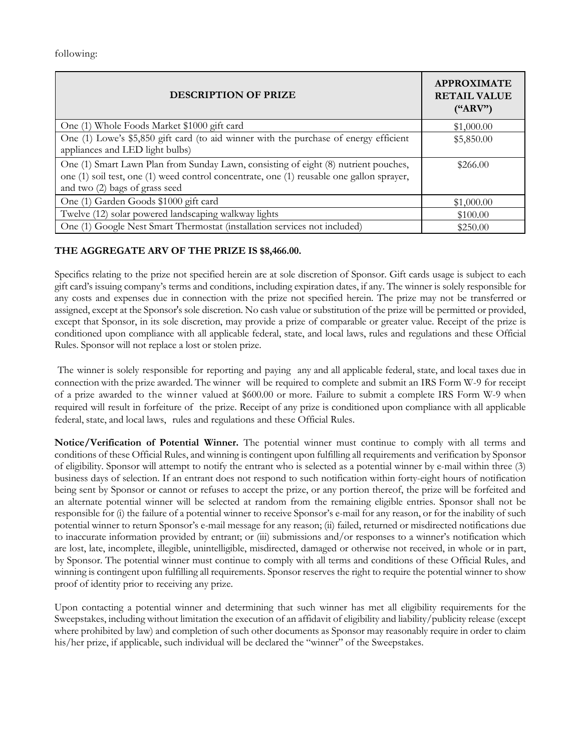following:

| <b>DESCRIPTION OF PRIZE</b>                                                                                                                                                                                        | <b>APPROXIMATE</b><br><b>RETAIL VALUE</b><br>$(*ARV")$ |
|--------------------------------------------------------------------------------------------------------------------------------------------------------------------------------------------------------------------|--------------------------------------------------------|
| One (1) Whole Foods Market \$1000 gift card                                                                                                                                                                        | \$1,000.00                                             |
| One (1) Lowe's \$5,850 gift card (to aid winner with the purchase of energy efficient<br>appliances and LED light bulbs)                                                                                           | \$5,850.00                                             |
| One (1) Smart Lawn Plan from Sunday Lawn, consisting of eight (8) nutrient pouches,<br>one (1) soil test, one (1) weed control concentrate, one (1) reusable one gallon sprayer,<br>and two (2) bags of grass seed | \$266.00                                               |
| One (1) Garden Goods \$1000 gift card                                                                                                                                                                              | \$1,000.00                                             |
| Twelve (12) solar powered landscaping walkway lights                                                                                                                                                               | \$100.00                                               |
| One (1) Google Nest Smart Thermostat (installation services not included)                                                                                                                                          | \$250.00                                               |

# **THE AGGREGATE ARV OF THE PRIZE IS \$8,466.00.**

Specifics relating to the prize not specified herein are at sole discretion of Sponsor. Gift cards usage is subject to each gift card's issuing company's terms and conditions, including expiration dates, if any. The winner is solely responsible for any costs and expenses due in connection with the prize not specified herein. The prize may not be transferred or assigned, except at the Sponsor's sole discretion. No cash value or substitution of the prize will be permitted or provided, except that Sponsor, in its sole discretion, may provide a prize of comparable or greater value. Receipt of the prize is conditioned upon compliance with all applicable federal, state, and local laws, rules and regulations and these Official Rules. Sponsor will not replace a lost or stolen prize.

The winner is solely responsible for reporting and paying any and all applicable federal, state, and local taxes due in connection with the prize awarded. The winner will be required to complete and submit an IRS Form W-9 for receipt of a prize awarded to the winner valued at \$600.00 or more. Failure to submit a complete IRS Form W-9 when required will result in forfeiture of the prize. Receipt of any prize is conditioned upon compliance with all applicable federal, state, and local laws, rules and regulations and these Official Rules.

**Notice/Verification of Potential Winner.** The potential winner must continue to comply with all terms and conditions of these Official Rules, and winning is contingent upon fulfilling all requirements and verification by Sponsor of eligibility. Sponsor will attempt to notify the entrant who is selected as a potential winner by e-mail within three (3) business days of selection. If an entrant does not respond to such notification within forty-eight hours of notification being sent by Sponsor or cannot or refuses to accept the prize, or any portion thereof, the prize will be forfeited and an alternate potential winner will be selected at random from the remaining eligible entries. Sponsor shall not be responsible for (i) the failure of a potential winner to receive Sponsor's e-mail for any reason, or for the inability of such potential winner to return Sponsor's e-mail message for any reason; (ii) failed, returned or misdirected notifications due to inaccurate information provided by entrant; or (iii) submissions and/or responses to a winner's notification which are lost, late, incomplete, illegible, unintelligible, misdirected, damaged or otherwise not received, in whole or in part, by Sponsor. The potential winner must continue to comply with all terms and conditions of these Official Rules, and winning is contingent upon fulfilling all requirements. Sponsor reserves the right to require the potential winner to show proof of identity prior to receiving any prize.

Upon contacting a potential winner and determining that such winner has met all eligibility requirements for the Sweepstakes, including without limitation the execution of an affidavit of eligibility and liability/publicity release (except where prohibited by law) and completion of such other documents as Sponsor may reasonably require in order to claim his/her prize, if applicable, such individual will be declared the "winner" of the Sweepstakes.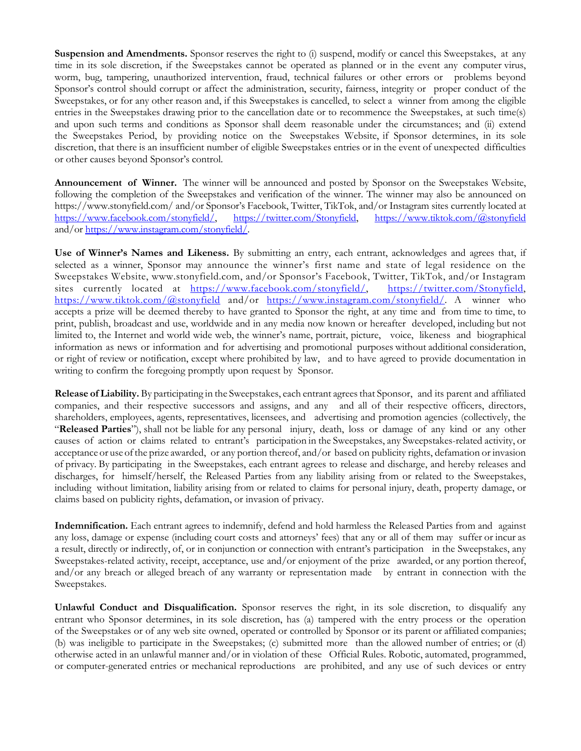**Suspension and Amendments.** Sponsor reserves the right to (i) suspend, modify or cancel this Sweepstakes, at any time in its sole discretion, if the Sweepstakes cannot be operated as planned or in the event any computer virus, worm, bug, tampering, unauthorized intervention, fraud, technical failures or other errors or problems beyond Sponsor's control should corrupt or affect the administration, security, fairness, integrity or proper conduct of the Sweepstakes, or for any other reason and, if this Sweepstakes is cancelled, to select a winner from among the eligible entries in the Sweepstakes drawing prior to the cancellation date or to recommence the Sweepstakes, at such time(s) and upon such terms and conditions as Sponsor shall deem reasonable under the circumstances; and (ii) extend the Sweepstakes Period, by providing notice on the Sweepstakes Website, if Sponsor determines, in its sole discretion, that there is an insufficient number of eligible Sweepstakes entries or in the event of unexpected difficulties or other causes beyond Sponsor's control.

**Announcement of Winner.** The winner will be announced and posted by Sponsor on the Sweepstakes Website, following the completion of the Sweepstakes and verification of the winner. The winner may also be announced on https://www.stonyfield.com/ and/or Sponsor's Facebook, Twitter, TikTok, and/or Instagram sites currently located at [https://www.facebook.com/stonyfield/,](https://www.facebook.com/stonyfield/) [https://twitter.com/Stonyfield,](https://twitter.com/Stonyfield) <https://www.tiktok.com/@stonyfield> and/or [https://www.instagram.com/stonyfield/.](https://www.instagram.com/stonyfield/)

**Use of Winner's Names and Likeness.** By submitting an entry, each entrant, acknowledges and agrees that, if selected as a winner, Sponsor may announce the winner's first name and state of legal residence on the Sweepstakes Website, www.stonyfield.com, and/or Sponsor's Facebook, Twitter, TikTok, and/or Instagram sites currently located at [https://www.facebook.com/stonyfield/,](https://www.facebook.com/stonyfield/) [https://twitter.com/Stonyfield,](https://twitter.com/Stonyfield) <https://www.tiktok.com/@stonyfield> and/or [https://www.instagram.com/stonyfield/.](https://www.instagram.com/stonyfield/) A winner who accepts a prize will be deemed thereby to have granted to Sponsor the right, at any time and from time to time, to print, publish, broadcast and use, worldwide and in any media now known or hereafter developed, including but not limited to, the Internet and world wide web, the winner's name, portrait, picture, voice, likeness and biographical information as news or information and for advertising and promotional purposes without additional consideration, or right of review or notification, except where prohibited by law, and to have agreed to provide documentation in writing to confirm the foregoing promptly upon request by Sponsor.

**Release of Liability.** By participating in the Sweepstakes, each entrant agreesthat Sponsor, and its parent and affiliated companies, and their respective successors and assigns, and any and all of their respective officers, directors, shareholders, employees, agents, representatives, licensees, and advertising and promotion agencies (collectively, the "**Released Parties**"), shall not be liable for any personal injury, death, loss or damage of any kind or any other causes of action or claims related to entrant's participation in the Sweepstakes, any Sweepstakes-related activity, or acceptance or use of the prize awarded, or any portion thereof, and/or based on publicity rights, defamation or invasion of privacy. By participating in the Sweepstakes, each entrant agrees to release and discharge, and hereby releases and discharges, for himself/herself, the Released Parties from any liability arising from or related to the Sweepstakes, including without limitation, liability arising from or related to claims for personal injury, death, property damage, or claims based on publicity rights, defamation, or invasion of privacy.

**Indemnification.** Each entrant agrees to indemnify, defend and hold harmless the Released Parties from and against any loss, damage or expense (including court costs and attorneys' fees) that any or all of them may suffer or incur as a result, directly or indirectly, of, or in conjunction or connection with entrant's participation in the Sweepstakes, any Sweepstakes-related activity, receipt, acceptance, use and/or enjoyment of the prize awarded, or any portion thereof, and/or any breach or alleged breach of any warranty or representation made by entrant in connection with the Sweepstakes.

**Unlawful Conduct and Disqualification.** Sponsor reserves the right, in its sole discretion, to disqualify any entrant who Sponsor determines, in its sole discretion, has (a) tampered with the entry process or the operation of the Sweepstakes or of any web site owned, operated or controlled by Sponsor or its parent or affiliated companies; (b) was ineligible to participate in the Sweepstakes; (c) submitted more than the allowed number of entries; or (d) otherwise acted in an unlawful manner and/or in violation of these Official Rules. Robotic, automated, programmed, or computer-generated entries or mechanical reproductions are prohibited, and any use of such devices or entry